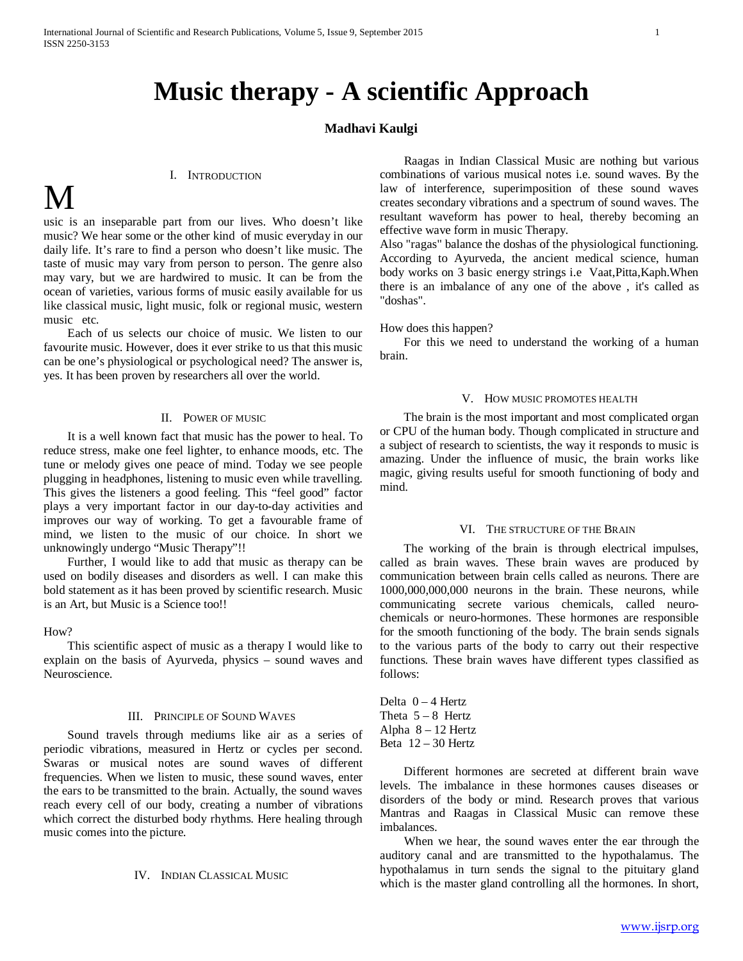## **Music therapy - A scientific Approach**

### **Madhavi Kaulgi**

#### I. INTRODUCTION

# M

usic is an inseparable part from our lives. Who doesn't like music? We hear some or the other kind of music everyday in our daily life. It's rare to find a person who doesn't like music. The taste of music may vary from person to person. The genre also may vary, but we are hardwired to music. It can be from the ocean of varieties, various forms of music easily available for us like classical music, light music, folk or regional music, western music etc.

 Each of us selects our choice of music. We listen to our favourite music. However, does it ever strike to us that this music can be one's physiological or psychological need? The answer is, yes. It has been proven by researchers all over the world.

#### II. POWER OF MUSIC

 It is a well known fact that music has the power to heal. To reduce stress, make one feel lighter, to enhance moods, etc. The tune or melody gives one peace of mind. Today we see people plugging in headphones, listening to music even while travelling. This gives the listeners a good feeling. This "feel good" factor plays a very important factor in our day-to-day activities and improves our way of working. To get a favourable frame of mind, we listen to the music of our choice. In short we unknowingly undergo "Music Therapy"!!

 Further, I would like to add that music as therapy can be used on bodily diseases and disorders as well. I can make this bold statement as it has been proved by scientific research. Music is an Art, but Music is a Science too!!

#### How?

 This scientific aspect of music as a therapy I would like to explain on the basis of Ayurveda, physics – sound waves and Neuroscience.

#### III. PRINCIPLE OF SOUND WAVES

 Sound travels through mediums like air as a series of periodic vibrations, measured in Hertz or cycles per second. Swaras or musical notes are sound waves of different frequencies. When we listen to music, these sound waves, enter the ears to be transmitted to the brain. Actually, the sound waves reach every cell of our body, creating a number of vibrations which correct the disturbed body rhythms. Here healing through music comes into the picture.

#### IV. INDIAN CLASSICAL MUSIC

 Raagas in Indian Classical Music are nothing but various combinations of various musical notes i.e. sound waves. By the law of interference, superimposition of these sound waves creates secondary vibrations and a spectrum of sound waves. The resultant waveform has power to heal, thereby becoming an effective wave form in music Therapy.

Also "ragas" balance the doshas of the physiological functioning. According to Ayurveda, the ancient medical science, human body works on 3 basic energy strings i.e Vaat,Pitta,Kaph.When there is an imbalance of any one of the above , it's called as "doshas".

#### How does this happen?

 For this we need to understand the working of a human brain.

#### V. HOW MUSIC PROMOTES HEALTH

 The brain is the most important and most complicated organ or CPU of the human body. Though complicated in structure and a subject of research to scientists, the way it responds to music is amazing. Under the influence of music, the brain works like magic, giving results useful for smooth functioning of body and mind.

#### VI. THE STRUCTURE OF THE BRAIN

 The working of the brain is through electrical impulses, called as brain waves. These brain waves are produced by communication between brain cells called as neurons. There are 1000,000,000,000 neurons in the brain. These neurons, while communicating secrete various chemicals, called neurochemicals or neuro-hormones. These hormones are responsible for the smooth functioning of the body. The brain sends signals to the various parts of the body to carry out their respective functions. These brain waves have different types classified as follows:

Delta 0 – 4 Hertz Theta  $5 - 8$  Hertz Alpha 8 – 12 Hertz Beta  $12 - 30$  Hertz

 Different hormones are secreted at different brain wave levels. The imbalance in these hormones causes diseases or disorders of the body or mind. Research proves that various Mantras and Raagas in Classical Music can remove these imbalances.

 When we hear, the sound waves enter the ear through the auditory canal and are transmitted to the hypothalamus. The hypothalamus in turn sends the signal to the pituitary gland which is the master gland controlling all the hormones. In short,